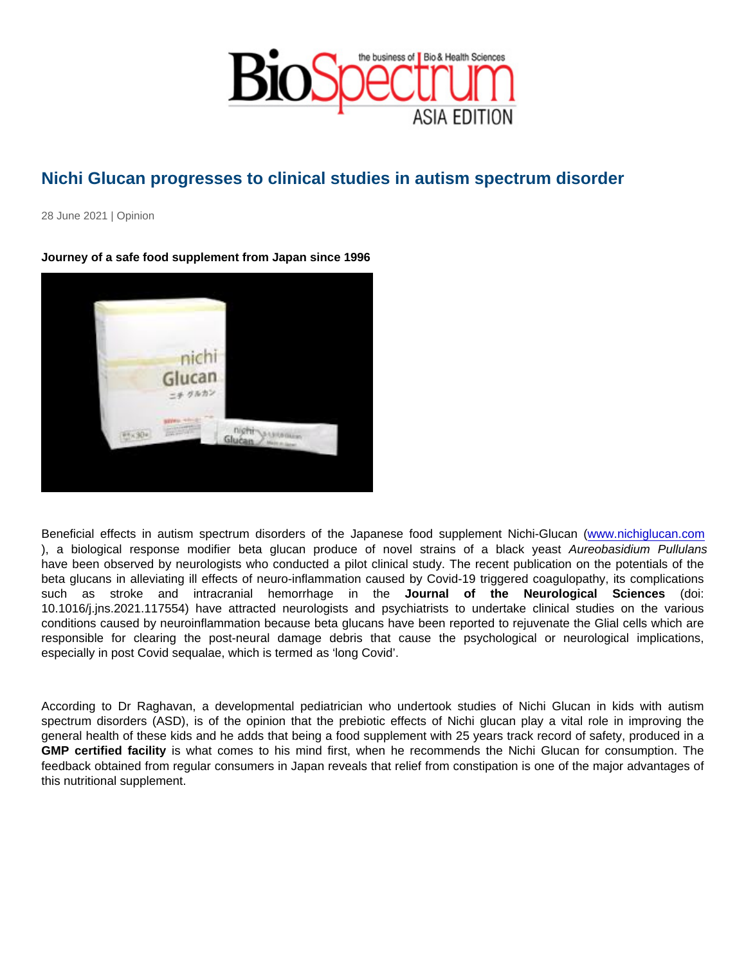## Nichi Glucan progresses to clinical studies in autism spectrum disorder

28 June 2021 | Opinion

Journey of a safe food supplement from Japan since 1996

Beneficial effects in autism spectrum disorders of the Japanese food supplement Nichi-Glucan [\(www.nichiglucan.com](http://www.nichiglucan.com) ), a biological response modifier beta glucan produce of novel strains of a black yeast Aureobasidium Pullulans have been observed by neurologists who conducted a pilot clinical study. The recent publication on the potentials of the beta glucans in alleviating ill effects of neuro-inflammation caused by Covid-19 triggered coagulopathy, its complications such as stroke and intracranial hemorrhage in the Journal of the Neurological Sciences (doi: 10.1016/j.jns.2021.117554) have attracted neurologists and psychiatrists to undertake clinical studies on the various conditions caused by neuroinflammation because beta glucans have been reported to rejuvenate the Glial cells which are responsible for clearing the post-neural damage debris that cause the psychological or neurological implications, especially in post Covid sequalae, which is termed as 'long Covid'.

According to Dr Raghavan, a developmental pediatrician who undertook studies of Nichi Glucan in kids with autism spectrum disorders (ASD), is of the opinion that the prebiotic effects of Nichi glucan play a vital role in improving the general health of these kids and he adds that being a food supplement with 25 years track record of safety, produced in a GMP certified facility is what comes to his mind first, when he recommends the Nichi Glucan for consumption. The feedback obtained from regular consumers in Japan reveals that relief from constipation is one of the major advantages of this nutritional supplement.